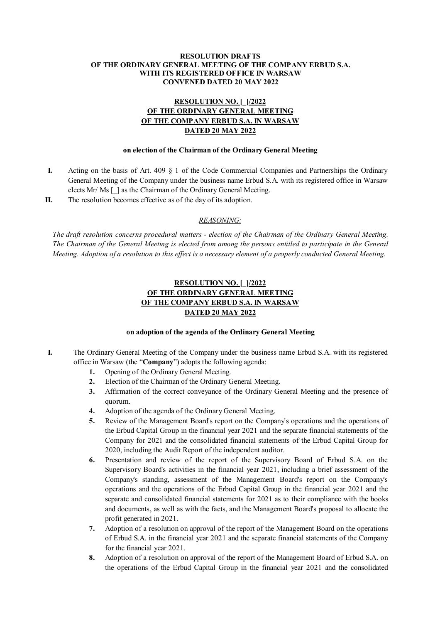### **RESOLUTION DRAFTS OF THE ORDINARY GENERAL MEETING OF THE COMPANY ERBUD S.A. WITH ITS REGISTERED OFFICE IN WARSAW CONVENED DATED 20 MAY 2022**

# **RESOLUTION NO. [\_]/2022 OF THE ORDINARY GENERAL MEETING OF THE COMPANY ERBUD S.A. IN WARSAW DATED 20 MAY 2022**

### **on election of the Chairman of the Ordinary General Meeting**

- **I.** Acting on the basis of Art. 409 § 1 of the Code Commercial Companies and Partnerships the Ordinary General Meeting of the Company under the business name Erbud S.A. with its registered office in Warsaw elects Mr/ Ms [ ] as the Chairman of the Ordinary General Meeting.
- **II.** The resolution becomes effective as of the day of its adoption.

## *REASONING:*

*The draft resolution concerns procedural matters - election of the Chairman of the Ordinary General Meeting. The Chairman of the General Meeting is elected from among the persons entitled to participate in the General Meeting. Adoption of a resolution to this effect is a necessary element of a properly conducted General Meeting.* 

# **RESOLUTION NO. [\_]/2022 OF THE ORDINARY GENERAL MEETING OF THE COMPANY ERBUD S.A. IN WARSAW DATED 20 MAY 2022**

### **on adoption of the agenda of the Ordinary General Meeting**

- **I.** The Ordinary General Meeting of the Company under the business name Erbud S.A. with its registered office in Warsaw (the "**Company**") adopts the following agenda:
	- **1.** Opening of the Ordinary General Meeting.
	- **2.** Election of the Chairman of the Ordinary General Meeting.
	- **3.** Affirmation of the correct conveyance of the Ordinary General Meeting and the presence of quorum.
	- **4.** Adoption of the agenda of the Ordinary General Meeting.
	- **5.** Review of the Management Board's report on the Company's operations and the operations of the Erbud Capital Group in the financial year 2021 and the separate financial statements of the Company for 2021 and the consolidated financial statements of the Erbud Capital Group for 2020, including the Audit Report of the independent auditor.
	- **6.** Presentation and review of the report of the Supervisory Board of Erbud S.A. on the Supervisory Board's activities in the financial year 2021, including a brief assessment of the Company's standing, assessment of the Management Board's report on the Company's operations and the operations of the Erbud Capital Group in the financial year 2021 and the separate and consolidated financial statements for 2021 as to their compliance with the books and documents, as well as with the facts, and the Management Board's proposal to allocate the profit generated in 2021.
	- **7.** Adoption of a resolution on approval of the report of the Management Board on the operations of Erbud S.A. in the financial year 2021 and the separate financial statements of the Company for the financial year 2021.
	- **8.** Adoption of a resolution on approval of the report of the Management Board of Erbud S.A. on the operations of the Erbud Capital Group in the financial year 2021 and the consolidated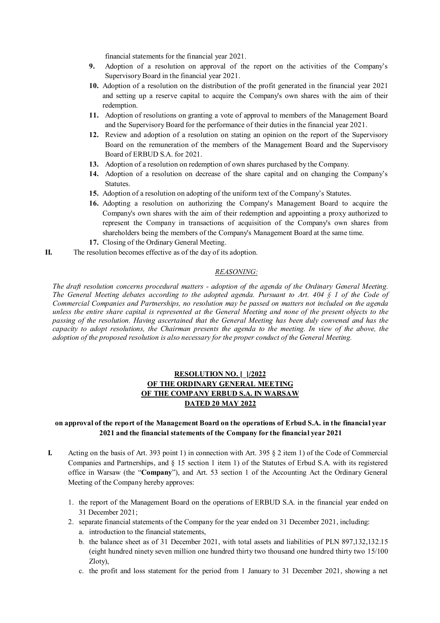financial statements for the financial year 2021.

- **9.** Adoption of a resolution on approval of the report on the activities of the Company's Supervisory Board in the financial year 2021.
- **10.** Adoption of a resolution on the distribution of the profit generated in the financial year 2021 and setting up a reserve capital to acquire the Company's own shares with the aim of their redemption.
- **11.** Adoption of resolutions on granting a vote of approval to members of the Management Board and the Supervisory Board for the performance of their duties in the financial year 2021.
- **12.** Review and adoption of a resolution on stating an opinion on the report of the Supervisory Board on the remuneration of the members of the Management Board and the Supervisory Board of ERBUD S.A. for 2021.
- **13.** Adoption of a resolution on redemption of own shares purchased by the Company.
- **14.** Adoption of a resolution on decrease of the share capital and on changing the Company's Statutes.
- **15.** Adoption of a resolution on adopting of the uniform text of the Company's Statutes.
- **16.** Adopting a resolution on authorizing the Company's Management Board to acquire the Company's own shares with the aim of their redemption and appointing a proxy authorized to represent the Company in transactions of acquisition of the Company's own shares from shareholders being the members of the Company's Management Board at the same time.
- **17.** Closing of the Ordinary General Meeting.
- **II.** The resolution becomes effective as of the day of its adoption.

## *REASONING:*

*The draft resolution concerns procedural matters - adoption of the agenda of the Ordinary General Meeting. The General Meeting debates according to the adopted agenda. Pursuant to Art. 404 § 1 of the Code of Commercial Companies and Partnerships, no resolution may be passed on matters not included on the agenda unless the entire share capital is represented at the General Meeting and none of the present objects to the passing of the resolution. Having ascertained that the General Meeting has been duly convened and has the capacity to adopt resolutions, the Chairman presents the agenda to the meeting. In view of the above, the adoption of the proposed resolution is also necessary for the proper conduct of the General Meeting.* 

# **RESOLUTION NO. [\_]/2022 OF THE ORDINARY GENERAL MEETING OF THE COMPANY ERBUD S.A. IN WARSAW DATED 20 MAY 2022**

### **on approval of the report of the Management Board on the operations of Erbud S.A. in the financial year 2021 and the financial statements of the Company for the financial year 2021**

- **I.** Acting on the basis of Art. 393 point 1) in connection with Art. 395 § 2 item 1) of the Code of Commercial Companies and Partnerships, and § 15 section 1 item 1) of the Statutes of Erbud S.A. with its registered office in Warsaw (the "**Company**"), and Art. 53 section 1 of the Accounting Act the Ordinary General Meeting of the Company hereby approves:
	- 1. the report of the Management Board on the operations of ERBUD S.A. in the financial year ended on 31 December 2021;
	- 2. separate financial statements of the Company for the year ended on 31 December 2021, including:
		- a. introduction to the financial statements,
		- b. the balance sheet as of 31 December 2021, with total assets and liabilities of PLN 897,132,132.15 (eight hundred ninety seven million one hundred thirty two thousand one hundred thirty two 15/100 Zloty),
		- c. the profit and loss statement for the period from 1 January to 31 December 2021, showing a net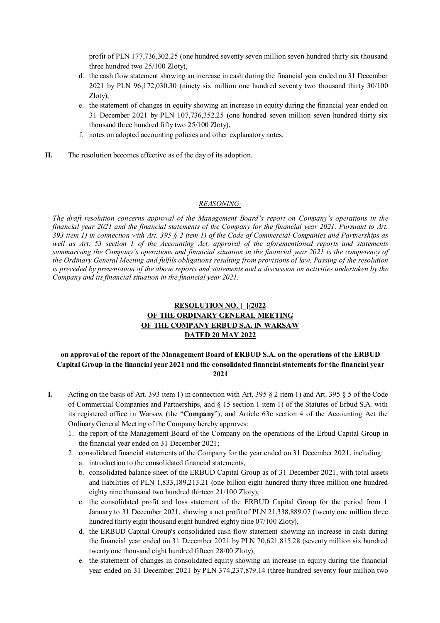profit of PLN 177,736,302.25 (one hundred seventy seven million seven hundred thirty six thousand three hundred two 25/100 Zloty),

- d. the cash flow statement showing an increase in cash during the financial year ended on 31 December 2021 by PLN 96,172,030.30 (ninety six million one hundred seventy two thousand thirty 30/100 Zloty),
- e. the statement of changes in equity showing an increase in equity during the financial year ended on 31 December 2021 by PLN 107,736,352.25 (one hundred seven million seven hundred thirty six thousand three hundred fifty two 25/100 Zloty),
- f. notes on adopted accounting policies and other explanatory notes.
- **II.** The resolution becomes effective as of the day of its adoption.

#### *REASONING:*

*The draft resolution concerns approval of the Management Board's report on Company's operations in the financial year 2021 and the financial statements of the Company for the financial year 2021. Pursuant to Art. 393 item 1) in connection with Art. 395 § 2 item 1) of the Code of Commercial Companies and Partnerships as well as Art. 53 section 1 of the Accounting Act, approval of the aforementioned reports and statements summarising the Company's operations and financial situation in the financial year 2021 is the competency of the Ordinary General Meeting and fulfils obligations resulting from provisions of law. Passing of the resolution is preceded by presentation of the above reports and statements and a discussion on activities undertaken by the Company and its financial situation in the financial year 2021.* 

# **RESOLUTION NO. [\_]/2022 OF THE ORDINARY GENERAL MEETING OF THE COMPANY ERBUD S.A. IN WARSAW DATED 20 MAY 2022**

## **on approval of the report of the Management Board of ERBUD S.A. on the operations of the ERBUD Capital Group in the financial year 2021 and the consolidated financial statements for the financial year 2021**

- **I.** Acting on the basis of Art. 393 item 1) in connection with Art. 395  $\S$  2 item 1) and Art. 395  $\S$  5 of the Code of Commercial Companies and Partnerships, and § 15 section 1 item 1) of the Statutes of Erbud S.A. with its registered office in Warsaw (the "**Company**"), and Article 63c section 4 of the Accounting Act the Ordinary General Meeting of the Company hereby approves:
	- 1. the report of the Management Board of the Company on the operations of the Erbud Capital Group in the financial year ended on 31 December 2021;
	- 2. consolidated financial statements of the Company for the year ended on 31 December 2021, including: a. introduction to the consolidated financial statements,
		- b. consolidated balance sheet of the ERBUD Capital Group as of 31 December 2021, with total assets and liabilities of PLN 1,833,189,213.21 (one billion eight hundred thirty three million one hundred eighty nine thousand two hundred thirteen 21/100 Zloty),
		- c. the consolidated profit and loss statement of the ERBUD Capital Group for the period from 1 January to 31 December 2021, showing a net profit of PLN 21,338,889.07 (twenty one million three hundred thirty eight thousand eight hundred eighty nine 07/100 Zloty),
		- d. the ERBUD Capital Group's consolidated cash flow statement showing an increase in cash during the financial year ended on 31 December 2021 by PLN 70,621,815.28 (seventy million six hundred twenty one thousand eight hundred fifteen 28/00 Zloty),
		- e. the statement of changes in consolidated equity showing an increase in equity during the financial year ended on 31 December 2021 by PLN 374,237,879.14 (three hundred seventy four million two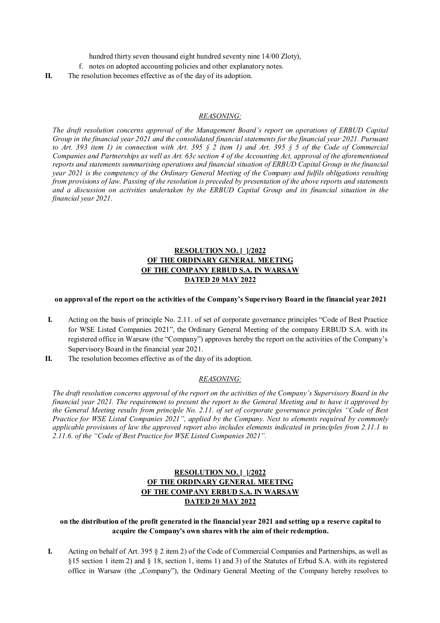hundred thirty seven thousand eight hundred seventy nine 14/00 Zloty),

f. notes on adopted accounting policies and other explanatory notes.

**II.** The resolution becomes effective as of the day of its adoption.

#### *REASONING:*

*The draft resolution concerns approval of the Management Board's report on operations of ERBUD Capital Group in the financial year 2021 and the consolidated financial statements for the financial year 2021. Pursuant to Art. 393 item 1) in connection with Art. 395 § 2 item 1) and Art. 395 § 5 of the Code of Commercial Companies and Partnerships as well as Art. 63c section 4 of the Accounting Act, approval of the aforementioned reports and statements summarising operations and financial situation of ERBUD Capital Group in the financial year 2021 is the competency of the Ordinary General Meeting of the Company and fulfils obligations resulting from provisions of law. Passing of the resolution is preceded by presentation of the above reports and statements and a discussion on activities undertaken by the ERBUD Capital Group and its financial situation in the financial year 2021.* 

# **RESOLUTION NO. [\_]/2022 OF THE ORDINARY GENERAL MEETING OF THE COMPANY ERBUD S.A. IN WARSAW DATED 20 MAY 2022**

#### **on approval of the report on the activities of the Company's Supervisory Board in the financial year 2021**

- **I.** Acting on the basis of principle No. 2.11. of set of corporate governance principles "Code of Best Practice for WSE Listed Companies 2021", the Ordinary General Meeting of the company ERBUD S.A. with its registered office in Warsaw (the "Company") approves hereby the report on the activities of the Company's Supervisory Board in the financial year 2021.
- **II.** The resolution becomes effective as of the day of its adoption.

#### *REASONING:*

*The draft resolution concerns approval of the report on the activities of the Company's Supervisory Board in the financial year 2021. The requirement to present the report to the General Meeting and to have it approved by the General Meeting results from principle No. 2.11. of set of corporate governance principles "Code of Best Practice for WSE Listed Companies 2021", applied by the Company. Next to elements required by commonly applicable provisions of law the approved report also includes elements indicated in principles from 2.11.1 to 2.11.6. of the "Code of Best Practice for WSE Listed Companies 2021".* 

# **RESOLUTION NO. [\_]/2022 OF THE ORDINARY GENERAL MEETING OF THE COMPANY ERBUD S.A. IN WARSAW DATED 20 MAY 2022**

## **on the distribution of the profit generated in the financial year 2021 and setting up a reserve capital to acquire the Company's own shares with the aim of their redemption.**

**I.** Acting on behalf of Art. 395 § 2 item 2) of the Code of Commercial Companies and Partnerships, as well as §15 section 1 item 2) and § 18, section 1, items 1) and 3) of the Statutes of Erbud S.A. with its registered office in Warsaw (the "Company"), the Ordinary General Meeting of the Company hereby resolves to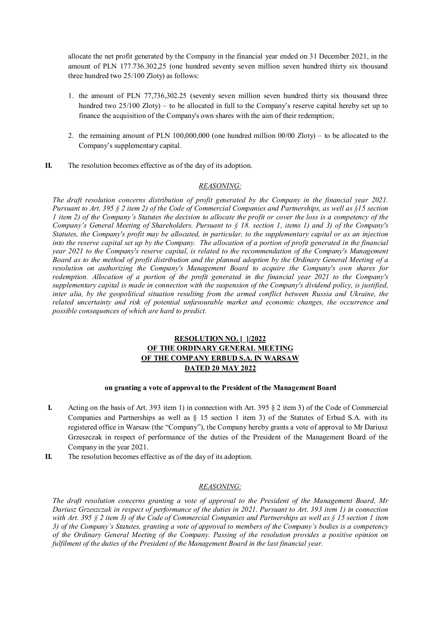allocate the net profit generated by the Company in the financial year ended on 31 December 2021, in the amount of PLN 177.736.302,25 (one hundred seventy seven million seven hundred thirty six thousand three hundred two 25/100 Zloty) as follows:

- 1. the amount of PLN 77,736,302.25 (seventy seven million seven hundred thirty six thousand three hundred two 25/100 Zloty) – to be allocated in full to the Company's reserve capital hereby set up to finance the acquisition of the Company's own shares with the aim of their redemption;
- 2. the remaining amount of PLN 100,000,000 (one hundred million 00/00 Zloty) to be allocated to the Company's supplementary capital.
- **II.** The resolution becomes effective as of the day of its adoption.

## *REASONING:*

*The draft resolution concerns distribution of profit generated by the Company in the financial year 2021. Pursuant to Art. 395 § 2 item 2) of the Code of Commercial Companies and Partnerships, as well as §15 section 1 item 2) of the Company's Statutes the decision to allocate the profit or cover the loss is a competency of the Company's General Meeting of Shareholders. Pursuant to § 18. section 1, items 1) and 3) of the Company's Statutes, the Company's profit may be allocated, in particular, to the supplementary capital or as an injection into the reserve capital set up by the Company. The allocation of a portion of profit generated in the financial year 2021 to the Company's reserve capital, is related to the recommendation of the Company's Management Board as to the method of profit distribution and the planned adoption by the Ordinary General Meeting of a resolution on authorizing the Company's Management Board to acquire the Company's own shares for redemption. Allocation of a portion of the profit generated in the financial year 2021 to the Company's supplementary capital is made in connection with the suspension of the Company's dividend policy, is justified, inter alia, by the geopolitical situation resulting from the armed conflict between Russia and Ukraine, the related uncertainty and risk of potential unfavourable market and economic changes, the occurrence and possible consequences of which are hard to predict.*

# **RESOLUTION NO. [\_]/2022 OF THE ORDINARY GENERAL MEETING OF THE COMPANY ERBUD S.A. IN WARSAW DATED 20 MAY 2022**

### **on granting a vote of approval to the President of the Management Board**

- **I.** Acting on the basis of Art. 393 item 1) in connection with Art. 395 § 2 item 3) of the Code of Commercial Companies and Partnerships as well as § 15 section 1 item 3) of the Statutes of Erbud S.A. with its registered office in Warsaw (the "Company"), the Company hereby grants a vote of approval to Mr Dariusz Grzeszczak in respect of performance of the duties of the President of the Management Board of the Company in the year 2021.
- **II.** The resolution becomes effective as of the day of its adoption.

## *REASONING:*

*The draft resolution concerns granting a vote of approval to the President of the Management Board, Mr Dariusz Grzeszczak in respect of performance of the duties in 2021. Pursuant to Art. 393 item 1) in connection with Art. 395 § 2 item 3) of the Code of Commercial Companies and Partnerships as well as § 15 section 1 item 3) of the Company's Statutes, granting a vote of approval to members of the Company's bodies is a competency of the Ordinary General Meeting of the Company. Passing of the resolution provides a positive opinion on fulfilment of the duties of the President of the Management Board in the last financial year.*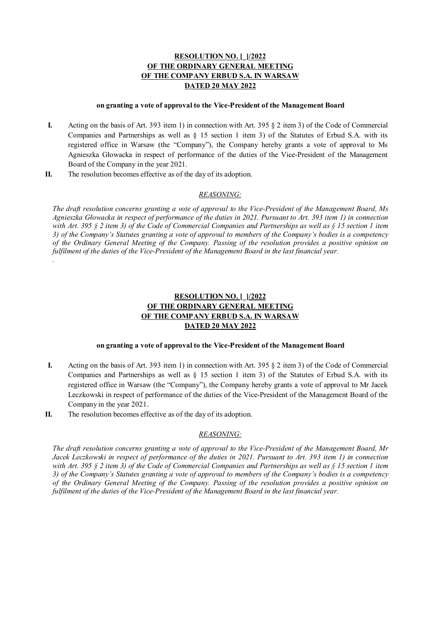#### **on granting a vote of approval to the Vice-President of the Management Board**

- **I.** Acting on the basis of Art. 393 item 1) in connection with Art. 395 § 2 item 3) of the Code of Commercial Companies and Partnerships as well as § 15 section 1 item 3) of the Statutes of Erbud S.A. with its registered office in Warsaw (the "Company"), the Company hereby grants a vote of approval to Ms Agnieszka Głowacka in respect of performance of the duties of the Vice-President of the Management Board of the Company in the year 2021.
- **II.** The resolution becomes effective as of the day of its adoption.

*.* 

## *REASONING:*

*The draft resolution concerns granting a vote of approval to the Vice-President of the Management Board, Ms Agnieszka Głowacka in respect of performance of the duties in 2021. Pursuant to Art. 393 item 1) in connection with Art. 395 § 2 item 3) of the Code of Commercial Companies and Partnerships as well as § 15 section 1 item 3) of the Company's Statutes granting a vote of approval to members of the Company's bodies is a competency of the Ordinary General Meeting of the Company. Passing of the resolution provides a positive opinion on fulfilment of the duties of the Vice-President of the Management Board in the last financial year.* 

# **RESOLUTION NO. [\_]/2022 OF THE ORDINARY GENERAL MEETING OF THE COMPANY ERBUD S.A. IN WARSAW DATED 20 MAY 2022**

### **on granting a vote of approval to the Vice-President of the Management Board**

- **I.** Acting on the basis of Art. 393 item 1) in connection with Art. 395 § 2 item 3) of the Code of Commercial Companies and Partnerships as well as  $\S$  15 section 1 item 3) of the Statutes of Erbud S.A. with its registered office in Warsaw (the "Company"), the Company hereby grants a vote of approval to Mr Jacek Leczkowski in respect of performance of the duties of the Vice-President of the Management Board of the Company in the year 2021.
- **II.** The resolution becomes effective as of the day of its adoption.

## *REASONING:*

*The draft resolution concerns granting a vote of approval to the Vice-President of the Management Board, Mr Jacek Leczkowski in respect of performance of the duties in 2021. Pursuant to Art. 393 item 1) in connection with Art. 395 § 2 item 3) of the Code of Commercial Companies and Partnerships as well as § 15 section 1 item 3) of the Company's Statutes granting a vote of approval to members of the Company's bodies is a competency of the Ordinary General Meeting of the Company. Passing of the resolution provides a positive opinion on fulfilment of the duties of the Vice-President of the Management Board in the last financial year.*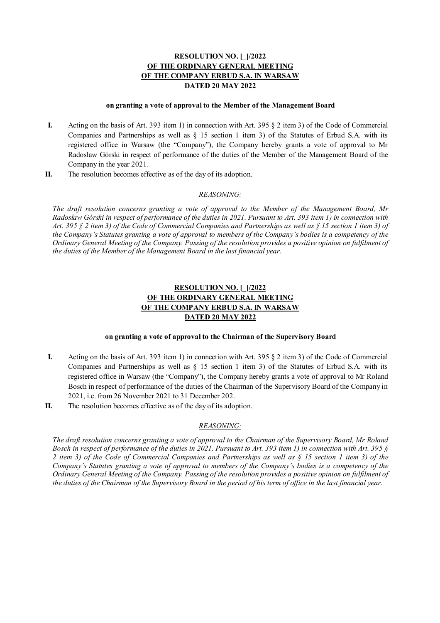#### **on granting a vote of approval to the Member of the Management Board**

- **I.** Acting on the basis of Art. 393 item 1) in connection with Art. 395 § 2 item 3) of the Code of Commercial Companies and Partnerships as well as § 15 section 1 item 3) of the Statutes of Erbud S.A. with its registered office in Warsaw (the "Company"), the Company hereby grants a vote of approval to Mr Radosław Górski in respect of performance of the duties of the Member of the Management Board of the Company in the year 2021.
- **II.** The resolution becomes effective as of the day of its adoption.

## *REASONING:*

*The draft resolution concerns granting a vote of approval to the Member of the Management Board, Mr Radosław Górski in respect of performance of the duties in 2021. Pursuant to Art. 393 item 1) in connection with Art. 395 § 2 item 3) of the Code of Commercial Companies and Partnerships as well as § 15 section 1 item 3) of the Company's Statutes granting a vote of approval to members of the Company's bodies is a competency of the Ordinary General Meeting of the Company. Passing of the resolution provides a positive opinion on fulfilment of the duties of the Member of the Management Board in the last financial year.* 

# **RESOLUTION NO. [\_]/2022 OF THE ORDINARY GENERAL MEETING OF THE COMPANY ERBUD S.A. IN WARSAW DATED 20 MAY 2022**

### **on granting a vote of approval to the Chairman of the Supervisory Board**

- **I.** Acting on the basis of Art. 393 item 1) in connection with Art. 395 § 2 item 3) of the Code of Commercial Companies and Partnerships as well as  $\S$  15 section 1 item 3) of the Statutes of Erbud S.A. with its registered office in Warsaw (the "Company"), the Company hereby grants a vote of approval to Mr Roland Bosch in respect of performance of the duties of the Chairman of the Supervisory Board of the Company in 2021, i.e. from 26 November 2021 to 31 December 202.
- **II.** The resolution becomes effective as of the day of its adoption.

### *REASONING:*

*The draft resolution concerns granting a vote of approval to the Chairman of the Supervisory Board, Mr Roland Bosch in respect of performance of the duties in 2021. Pursuant to Art. 393 item 1) in connection with Art. 395 § 2 item 3) of the Code of Commercial Companies and Partnerships as well as § 15 section 1 item 3) of the Company's Statutes granting a vote of approval to members of the Company's bodies is a competency of the Ordinary General Meeting of the Company. Passing of the resolution provides a positive opinion on fulfilment of the duties of the Chairman of the Supervisory Board in the period of his term of office in the last financial year.*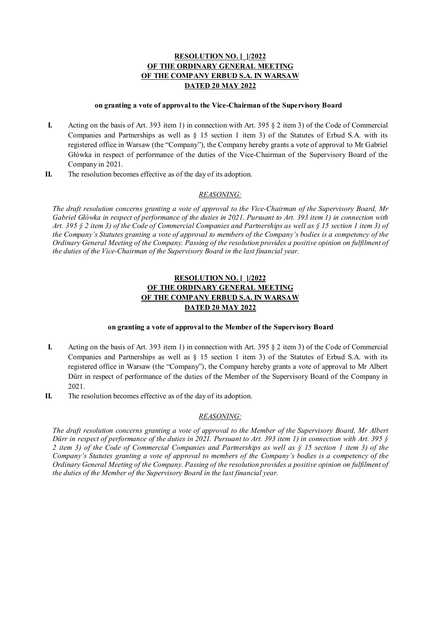#### **on granting a vote of approval to the Vice-Chairman of the Supervisory Board**

- **I.** Acting on the basis of Art. 393 item 1) in connection with Art. 395 § 2 item 3) of the Code of Commercial Companies and Partnerships as well as § 15 section 1 item 3) of the Statutes of Erbud S.A. with its registered office in Warsaw (the "Company"), the Company hereby grants a vote of approval to Mr Gabriel Główka in respect of performance of the duties of the Vice-Chairman of the Supervisory Board of the Company in 2021.
- **II.** The resolution becomes effective as of the day of its adoption.

## *REASONING:*

*The draft resolution concerns granting a vote of approval to the Vice-Chairman of the Supervisory Board, Mr Gabriel Główka in respect of performance of the duties in 2021. Pursuant to Art. 393 item 1) in connection with Art. 395 § 2 item 3) of the Code of Commercial Companies and Partnerships as well as § 15 section 1 item 3) of the Company's Statutes granting a vote of approval to members of the Company's bodies is a competency of the Ordinary General Meeting of the Company. Passing of the resolution provides a positive opinion on fulfilment of the duties of the Vice-Chairman of the Supervisory Board in the last financial year.* 

# **RESOLUTION NO. [\_]/2022 OF THE ORDINARY GENERAL MEETING OF THE COMPANY ERBUD S.A. IN WARSAW DATED 20 MAY 2022**

### **on granting a vote of approval to the Member of the Supervisory Board**

- **I.** Acting on the basis of Art. 393 item 1) in connection with Art. 395 § 2 item 3) of the Code of Commercial Companies and Partnerships as well as  $\S$  15 section 1 item 3) of the Statutes of Erbud S.A. with its registered office in Warsaw (the "Company"), the Company hereby grants a vote of approval to Mr Albert Dürr in respect of performance of the duties of the Member of the Supervisory Board of the Company in 2021.
- **II.** The resolution becomes effective as of the day of its adoption.

### *REASONING:*

*The draft resolution concerns granting a vote of approval to the Member of the Supervisory Board, Mr Albert Dürr in respect of performance of the duties in 2021. Pursuant to Art. 393 item 1) in connection with Art. 395 § 2 item 3) of the Code of Commercial Companies and Partnerships as well as § 15 section 1 item 3) of the Company's Statutes granting a vote of approval to members of the Company's bodies is a competency of the Ordinary General Meeting of the Company. Passing of the resolution provides a positive opinion on fulfilment of the duties of the Member of the Supervisory Board in the last financial year.*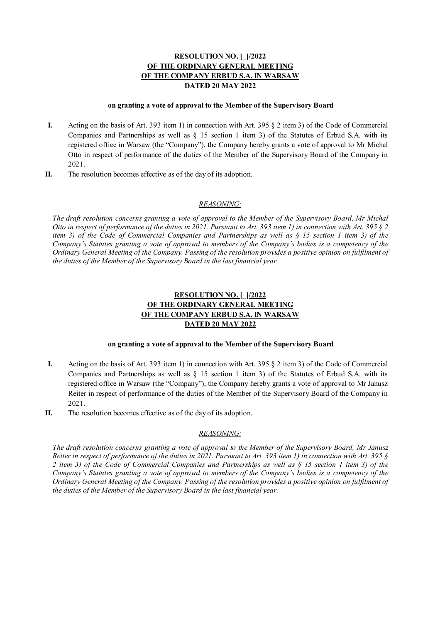#### **on granting a vote of approval to the Member of the Supervisory Board**

- **I.** Acting on the basis of Art. 393 item 1) in connection with Art. 395 § 2 item 3) of the Code of Commercial Companies and Partnerships as well as § 15 section 1 item 3) of the Statutes of Erbud S.A. with its registered office in Warsaw (the "Company"), the Company hereby grants a vote of approval to Mr Michał Otto in respect of performance of the duties of the Member of the Supervisory Board of the Company in 2021.
- **II.** The resolution becomes effective as of the day of its adoption.

### *REASONING:*

*The draft resolution concerns granting a vote of approval to the Member of the Supervisory Board, Mr Michał Otto in respect of performance of the duties in 2021. Pursuant to Art. 393 item 1) in connection with Art. 395 § 2 item 3) of the Code of Commercial Companies and Partnerships as well as § 15 section 1 item 3) of the Company's Statutes granting a vote of approval to members of the Company's bodies is a competency of the Ordinary General Meeting of the Company. Passing of the resolution provides a positive opinion on fulfilment of the duties of the Member of the Supervisory Board in the last financial year.* 

# **RESOLUTION NO. [\_]/2022 OF THE ORDINARY GENERAL MEETING OF THE COMPANY ERBUD S.A. IN WARSAW DATED 20 MAY 2022**

#### **on granting a vote of approval to the Member of the Supervisory Board**

- **I.** Acting on the basis of Art. 393 item 1) in connection with Art. 395 § 2 item 3) of the Code of Commercial Companies and Partnerships as well as  $\S$  15 section 1 item 3) of the Statutes of Erbud S.A. with its registered office in Warsaw (the "Company"), the Company hereby grants a vote of approval to Mr Janusz Reiter in respect of performance of the duties of the Member of the Supervisory Board of the Company in 2021.
- **II.** The resolution becomes effective as of the day of its adoption.

### *REASONING:*

*The draft resolution concerns granting a vote of approval to the Member of the Supervisory Board, Mr Janusz Reiter in respect of performance of the duties in 2021. Pursuant to Art. 393 item 1) in connection with Art. 395 § 2 item 3) of the Code of Commercial Companies and Partnerships as well as § 15 section 1 item 3) of the Company's Statutes granting a vote of approval to members of the Company's bodies is a competency of the Ordinary General Meeting of the Company. Passing of the resolution provides a positive opinion on fulfilment of the duties of the Member of the Supervisory Board in the last financial year.*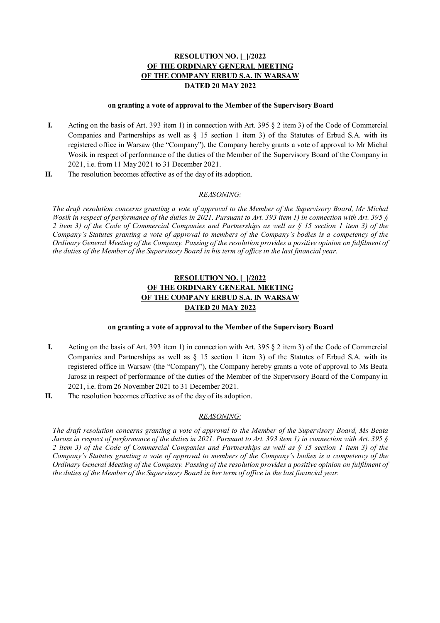#### **on granting a vote of approval to the Member of the Supervisory Board**

- **I.** Acting on the basis of Art. 393 item 1) in connection with Art. 395 § 2 item 3) of the Code of Commercial Companies and Partnerships as well as § 15 section 1 item 3) of the Statutes of Erbud S.A. with its registered office in Warsaw (the "Company"), the Company hereby grants a vote of approval to Mr Michał Wosik in respect of performance of the duties of the Member of the Supervisory Board of the Company in 2021, i.e. from 11 May 2021 to 31 December 2021.
- **II.** The resolution becomes effective as of the day of its adoption.

## *REASONING:*

*The draft resolution concerns granting a vote of approval to the Member of the Supervisory Board, Mr Michał Wosik in respect of performance of the duties in 2021. Pursuant to Art. 393 item 1) in connection with Art. 395 § 2 item 3) of the Code of Commercial Companies and Partnerships as well as § 15 section 1 item 3) of the Company's Statutes granting a vote of approval to members of the Company's bodies is a competency of the Ordinary General Meeting of the Company. Passing of the resolution provides a positive opinion on fulfilment of the duties of the Member of the Supervisory Board in his term of office in the last financial year.* 

# **RESOLUTION NO. [\_]/2022 OF THE ORDINARY GENERAL MEETING OF THE COMPANY ERBUD S.A. IN WARSAW DATED 20 MAY 2022**

### **on granting a vote of approval to the Member of the Supervisory Board**

- **I.** Acting on the basis of Art. 393 item 1) in connection with Art. 395 § 2 item 3) of the Code of Commercial Companies and Partnerships as well as  $\S$  15 section 1 item 3) of the Statutes of Erbud S.A. with its registered office in Warsaw (the "Company"), the Company hereby grants a vote of approval to Ms Beata Jarosz in respect of performance of the duties of the Member of the Supervisory Board of the Company in 2021, i.e. from 26 November 2021 to 31 December 2021.
- **II.** The resolution becomes effective as of the day of its adoption.

## *REASONING:*

*The draft resolution concerns granting a vote of approval to the Member of the Supervisory Board, Ms Beata Jarosz in respect of performance of the duties in 2021. Pursuant to Art. 393 item 1) in connection with Art. 395 § 2 item 3) of the Code of Commercial Companies and Partnerships as well as § 15 section 1 item 3) of the Company's Statutes granting a vote of approval to members of the Company's bodies is a competency of the Ordinary General Meeting of the Company. Passing of the resolution provides a positive opinion on fulfilment of the duties of the Member of the Supervisory Board in her term of office in the last financial year.*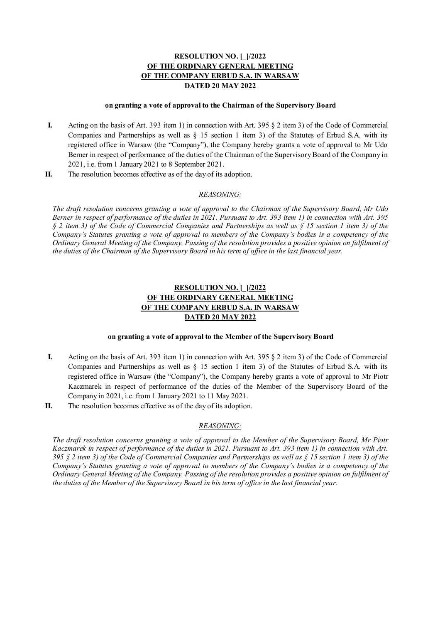#### **on granting a vote of approval to the Chairman of the Supervisory Board**

- **I.** Acting on the basis of Art. 393 item 1) in connection with Art. 395 § 2 item 3) of the Code of Commercial Companies and Partnerships as well as § 15 section 1 item 3) of the Statutes of Erbud S.A. with its registered office in Warsaw (the "Company"), the Company hereby grants a vote of approval to Mr Udo Berner in respect of performance of the duties of the Chairman of the Supervisory Board of the Company in 2021, i.e. from 1 January 2021 to 8 September 2021.
- **II.** The resolution becomes effective as of the day of its adoption.

## *REASONING:*

*The draft resolution concerns granting a vote of approval to the Chairman of the Supervisory Board, Mr Udo Berner in respect of performance of the duties in 2021. Pursuant to Art. 393 item 1) in connection with Art. 395 § 2 item 3) of the Code of Commercial Companies and Partnerships as well as § 15 section 1 item 3) of the Company's Statutes granting a vote of approval to members of the Company's bodies is a competency of the Ordinary General Meeting of the Company. Passing of the resolution provides a positive opinion on fulfilment of the duties of the Chairman of the Supervisory Board in his term of office in the last financial year.* 

# **RESOLUTION NO. [\_]/2022 OF THE ORDINARY GENERAL MEETING OF THE COMPANY ERBUD S.A. IN WARSAW DATED 20 MAY 2022**

### **on granting a vote of approval to the Member of the Supervisory Board**

- **I.** Acting on the basis of Art. 393 item 1) in connection with Art. 395 § 2 item 3) of the Code of Commercial Companies and Partnerships as well as  $\S$  15 section 1 item 3) of the Statutes of Erbud S.A. with its registered office in Warsaw (the "Company"), the Company hereby grants a vote of approval to Mr Piotr Kaczmarek in respect of performance of the duties of the Member of the Supervisory Board of the Company in 2021, i.e. from 1 January 2021 to 11 May 2021.
- **II.** The resolution becomes effective as of the day of its adoption.

### *REASONING:*

*The draft resolution concerns granting a vote of approval to the Member of the Supervisory Board, Mr Piotr Kaczmarek in respect of performance of the duties in 2021. Pursuant to Art. 393 item 1) in connection with Art. 395 § 2 item 3) of the Code of Commercial Companies and Partnerships as well as § 15 section 1 item 3) of the Company's Statutes granting a vote of approval to members of the Company's bodies is a competency of the Ordinary General Meeting of the Company. Passing of the resolution provides a positive opinion on fulfilment of the duties of the Member of the Supervisory Board in his term of office in the last financial year.*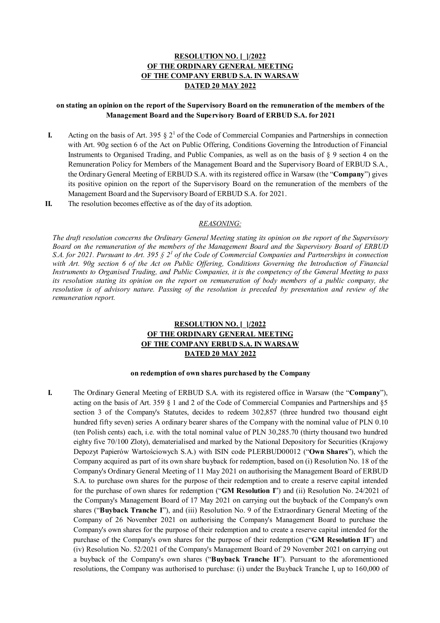## **on stating an opinion on the report of the Supervisory Board on the remuneration of the members of the Management Board and the Supervisory Board of ERBUD S.A. for 2021**

- **I.** Acting on the basis of Art. 395  $\S 2^1$  of the Code of Commercial Companies and Partnerships in connection with Art. 90g section 6 of the Act on Public Offering, Conditions Governing the Introduction of Financial Instruments to Organised Trading, and Public Companies, as well as on the basis of § 9 section 4 on the Remuneration Policy for Members of the Management Board and the Supervisory Board of ERBUD S.A., the Ordinary General Meeting of ERBUD S.A. with its registered office in Warsaw (the "**Company**") gives its positive opinion on the report of the Supervisory Board on the remuneration of the members of the Management Board and the Supervisory Board of ERBUD S.A. for 2021.
- **II.** The resolution becomes effective as of the day of its adoption.

### *REASONING:*

*The draft resolution concerns the Ordinary General Meeting stating its opinion on the report of the Supervisory Board on the remuneration of the members of the Management Board and the Supervisory Board of ERBUD S.A. for 2021. Pursuant to Art.* 395  $\S 2<sup>1</sup>$  of the Code of Commercial Companies and Partnerships in connection *with Art. 90g section 6 of the Act on Public Offering, Conditions Governing the Introduction of Financial Instruments to Organised Trading, and Public Companies, it is the competency of the General Meeting to pass its resolution stating its opinion on the report on remuneration of body members of a public company, the resolution is of advisory nature. Passing of the resolution is preceded by presentation and review of the remuneration report.* 

# **RESOLUTION NO. [\_]/2022 OF THE ORDINARY GENERAL MEETING OF THE COMPANY ERBUD S.A. IN WARSAW DATED 20 MAY 2022**

#### **on redemption of own shares purchased by the Company**

**I.** The Ordinary General Meeting of ERBUD S.A. with its registered office in Warsaw (the "**Company**"), acting on the basis of Art. 359 § 1 and 2 of the Code of Commercial Companies and Partnerships and §5 section 3 of the Company's Statutes, decides to redeem 302,857 (three hundred two thousand eight hundred fifty seven) series A ordinary bearer shares of the Company with the nominal value of PLN 0.10 (ten Polish cents) each, i.e. with the total nominal value of PLN 30,285.70 (thirty thousand two hundred eighty five 70/100 Zloty), dematerialised and marked by the National Depository for Securities (Krajowy Depozyt Papierów Wartościowych S.A.) with ISIN code PLERBUD00012 ("**Own Shares**"), which the Company acquired as part of its own share buyback for redemption, based on (i) Resolution No. 18 of the Company's Ordinary General Meeting of 11 May 2021 on authorising the Management Board of ERBUD S.A. to purchase own shares for the purpose of their redemption and to create a reserve capital intended for the purchase of own shares for redemption ("**GM Resolution I**") and (ii) Resolution No. 24/2021 of the Company's Management Board of 17 May 2021 on carrying out the buyback of the Company's own shares ("**Buyback Tranche I**"), and (iii) Resolution No. 9 of the Extraordinary General Meeting of the Company of 26 November 2021 on authorising the Company's Management Board to purchase the Company's own shares for the purpose of their redemption and to create a reserve capital intended for the purchase of the Company's own shares for the purpose of their redemption ("**GM Resolution II**") and (iv) Resolution No. 52/2021 of the Company's Management Board of 29 November 2021 on carrying out a buyback of the Company's own shares ("**Buyback Tranche II**"). Pursuant to the aforementioned resolutions, the Company was authorised to purchase: (i) under the Buyback Tranche I, up to 160,000 of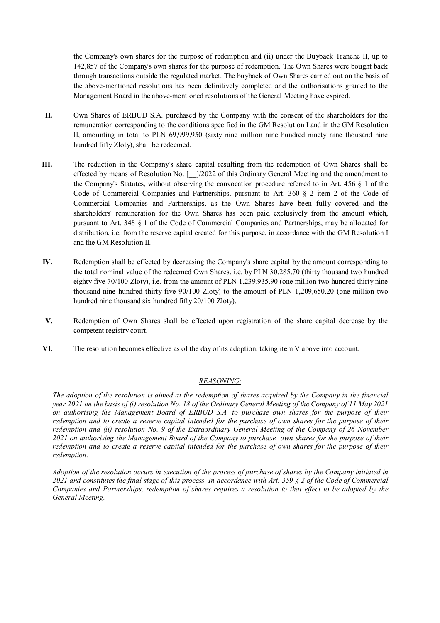the Company's own shares for the purpose of redemption and (ii) under the Buyback Tranche II, up to 142,857 of the Company's own shares for the purpose of redemption. The Own Shares were bought back through transactions outside the regulated market. The buyback of Own Shares carried out on the basis of the above-mentioned resolutions has been definitively completed and the authorisations granted to the Management Board in the above-mentioned resolutions of the General Meeting have expired.

- **II.** Own Shares of ERBUD S.A. purchased by the Company with the consent of the shareholders for the remuneration corresponding to the conditions specified in the GM Resolution I and in the GM Resolution II, amounting in total to PLN 69,999,950 (sixty nine million nine hundred ninety nine thousand nine hundred fifty Zloty), shall be redeemed.
- **III.** The reduction in the Company's share capital resulting from the redemption of Own Shares shall be effected by means of Resolution No. [  $\frac{1}{2022}$  of this Ordinary General Meeting and the amendment to the Company's Statutes, without observing the convocation procedure referred to in Art. 456 § 1 of the Code of Commercial Companies and Partnerships, pursuant to Art. 360 § 2 item 2 of the Code of Commercial Companies and Partnerships, as the Own Shares have been fully covered and the shareholders' remuneration for the Own Shares has been paid exclusively from the amount which, pursuant to Art. 348 § 1 of the Code of Commercial Companies and Partnerships, may be allocated for distribution, i.e. from the reserve capital created for this purpose, in accordance with the GM Resolution I and the GM Resolution II.
- **IV.** Redemption shall be effected by decreasing the Company's share capital by the amount corresponding to the total nominal value of the redeemed Own Shares, i.e. by PLN 30,285.70 (thirty thousand two hundred eighty five 70/100 Zloty), i.e. from the amount of PLN 1,239,935.90 (one million two hundred thirty nine thousand nine hundred thirty five 90/100 Zloty) to the amount of PLN 1,209,650.20 (one million two hundred nine thousand six hundred fifty 20/100 Zloty).
- **V.** Redemption of Own Shares shall be effected upon registration of the share capital decrease by the competent registry court.
- **VI.** The resolution becomes effective as of the day of its adoption, taking item V above into account.

## *REASONING:*

*The adoption of the resolution is aimed at the redemption of shares acquired by the Company in the financial year 2021 on the basis of (i) resolution No. 18 of the Ordinary General Meeting of the Company of 11 May 2021 on authorising the Management Board of ERBUD S.A. to purchase own shares for the purpose of their redemption and to create a reserve capital intended for the purchase of own shares for the purpose of their redemption and (ii) resolution No. 9 of the Extraordinary General Meeting of the Company of 26 November 2021 on authorising the Management Board of the Company to purchase own shares for the purpose of their redemption and to create a reserve capital intended for the purchase of own shares for the purpose of their redemption.* 

*Adoption of the resolution occurs in execution of the process of purchase of shares by the Company initiated in 2021 and constitutes the final stage of this process. In accordance with Art. 359 § 2 of the Code of Commercial Companies and Partnerships, redemption of shares requires a resolution to that effect to be adopted by the General Meeting.*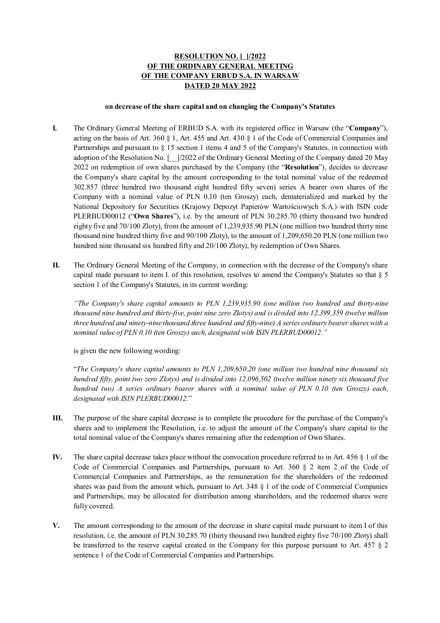### **on decrease of the share capital and on changing the Company's Statutes**

- **I.** The Ordinary General Meeting of ERBUD S.A. with its registered office in Warsaw (the "**Company**"), acting on the basis of Art. 360 § 1, Art. 455 and Art. 430 § 1 of the Code of Commercial Companies and Partnerships and pursuant to § 15 section 1 items 4 and 5 of the Company's Statutes, in connection with adoption of the Resolution No. [\_\_]/2022 of the Ordinary General Meeting of the Company dated 20 May 2022 on redemption of own shares purchased by the Company (the "**Resolution**"), decides to decrease the Company's share capital by the amount corresponding to the total nominal value of the redeemed 302.857 (three hundred two thousand eight hundred fifty seven) series A bearer own shares of the Company with a nominal value of PLN 0.10 (ten Groszy) each, dematerialized and marked by the National Depository for Securities (Krajowy Depozyt Papierów Wartościowych S.A.) with ISIN code PLERBUD00012 ("**Own Shares**"), i.e. by the amount of PLN 30.285.70 (thirty thousand two hundred eighty five and 70/100 Zloty), from the amount of 1,239,935.90 PLN (one million two hundred thirty nine thousand nine hundred thirty five and 90/100 Zloty), to the amount of 1,209,650.20 PLN (one million two hundred nine thousand six hundred fifty and 20/100 Zloty), by redemption of Own Shares.
- **II.** The Ordinary General Meeting of the Company, in connection with the decrease of the Company's share capital made pursuant to item I. of this resolution, resolves to amend the Company's Statutes so that  $\S$  5 section 1 of the Company's Statutes, in its current wording:

*"The Company's share capital amounts to PLN 1,239,935.90 (one million two hundred and thirty-nine thousand nine hundred and thirty-five, point nine zero Zlotys) and is divided into 12,399,359 (twelve million three hundred and ninety-nine thousand three hundred and fifty-nine) A series ordinary bearer shares with a nominal value of PLN 0.10 (ten Groszy) each, designated with ISIN PLERBUD00012."* 

is given the new following wording:

"*The Company's share capital amounts to PLN 1,209,650.20 (one million two hundred nine thousand six hundred fifty, point two zero Zlotys) and is divided into 12,096,502 (twelve million ninety six thousand five hundred two) A series ordinary bearer shares with a nominal value of PLN 0.10 (ten Groszy) each, designated with ISIN PLERBUD00012.*"

- **III.** The purpose of the share capital decrease is to complete the procedure for the purchase of the Company's shares and to implement the Resolution, i.e. to adjust the amount of the Company's share capital to the total nominal value of the Company's shares remaining after the redemption of Own Shares.
- **IV.** The share capital decrease takes place without the convocation procedure referred to in Art. 456 § 1 of the Code of Commercial Companies and Partnerships, pursuant to Art. 360 § 2 item 2 of the Code of Commercial Companies and Partnerships, as the remuneration for the shareholders of the redeemed shares was paid from the amount which, pursuant to Art. 348 § 1 of the code of Commercial Companies and Partnerships, may be allocated for distribution among shareholders, and the redeemed shares were fully covered.
- **V.** The amount corresponding to the amount of the decrease in share capital made pursuant to item I of this resolution, i.e. the amount of PLN 30,285.70 (thirty thousand two hundred eighty five 70/100 Zloty) shall be transferred to the reserve capital created in the Company for this purpose pursuant to Art. 457 § 2 sentence 1 of the Code of Commercial Companies and Partnerships.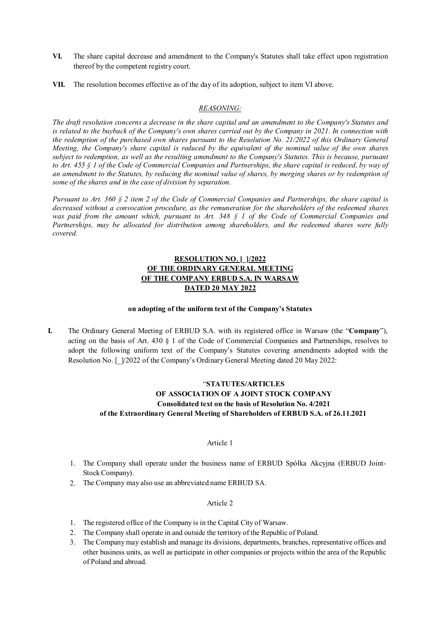- **VI.** The share capital decrease and amendment to the Company's Statutes shall take effect upon registration thereof by the competent registry court.
- **VII.** The resolution becomes effective as of the day of its adoption, subject to item VI above.

## *REASONING:*

*The draft resolution concerns a decrease in the share capital and an amendment to the Company's Statutes and is related to the buyback of the Company's own shares carried out by the Company in 2021. In connection with the redemption of the purchased own shares pursuant to the Resolution No. 21/2022 of this Ordinary General Meeting, the Company's share capital is reduced by the equivalent of the nominal value of the own shares subject to redemption, as well as the resulting amendment to the Company's Statutes. This is because, pursuant to Art. 455 § 1 of the Code of Commercial Companies and Partnerships, the share capital is reduced, by way of an amendment to the Statutes, by reducing the nominal value of shares, by merging shares or by redemption of some of the shares and in the case of division by separation.* 

*Pursuant to Art. 360 § 2 item 2 of the Code of Commercial Companies and Partnerships, the share capital is decreased without a convocation procedure, as the remuneration for the shareholders of the redeemed shares was paid from the amount which, pursuant to Art. 348 § 1 of the Code of Commercial Companies and Partnerships, may be allocated for distribution among shareholders, and the redeemed shares were fully covered.* 

## **RESOLUTION NO. [\_]/2022 OF THE ORDINARY GENERAL MEETING OF THE COMPANY ERBUD S.A. IN WARSAW DATED 20 MAY 2022**

#### **on adopting of the uniform text of the Company's Statutes**

**I.** The Ordinary General Meeting of ERBUD S.A. with its registered office in Warsaw (the "**Company**"), acting on the basis of Art. 430 § 1 of the Code of Commercial Companies and Partnerships, resolves to adopt the following uniform text of the Company's Statutes covering amendments adopted with the Resolution No. [ $\frac{1}{2022}$  of the Company's Ordinary General Meeting dated 20 May 2022:

# "**STATUTES/ARTICLES OF ASSOCIATION OF A JOINT STOCK COMPANY Consolidated text on the basis of Resolution No. 4/2021 of the Extraordinary General Meeting of Shareholders of ERBUD S.A. of 26.11.2021**

#### Article 1

- 1. The Company shall operate under the business name of ERBUD Spółka Akcyjna (ERBUD Joint-Stock Company).
- 2. The Company may also use an abbreviated name ERBUD SA.

- 1. The registered office of the Company is in the Capital City of Warsaw.
- 2. The Company shall operate in and outside the territory of the Republic of Poland.
- 3. The Company may establish and manage its divisions, departments, branches, representative offices and other business units, as well as participate in other companies or projects within the area of the Republic of Poland and abroad.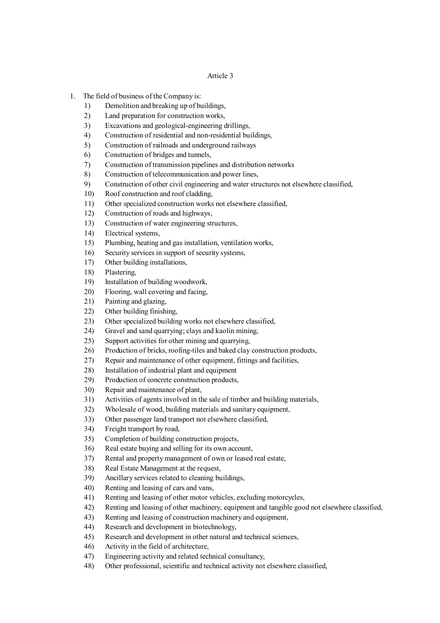- 1. The field of business of the Company is:
	- 1) Demolition and breaking up of buildings,
	- 2) Land preparation for construction works,
	- 3) Excavations and geological-engineering drillings,
	- 4) Construction of residential and non-residential buildings,
	- 5) Construction of railroads and underground railways
	- 6) Construction of bridges and tunnels,
	- 7) Construction of transmission pipelines and distribution networks
	- 8) Construction of telecommunication and power lines,
	- 9) Construction of other civil engineering and water structures not elsewhere classified,
	- 10) Roof construction and roof cladding,
	- 11) Other specialized construction works not elsewhere classified,
	- 12) Construction of roads and highways,
	- 13) Construction of water engineering structures,
	- 14) Electrical systems,
	- 15) Plumbing, heating and gas installation, ventilation works,
	- 16) Security services in support of security systems,
	- 17) Other building installations,
	- 18) Plastering,
	- 19) Installation of building woodwork,
	- 20) Flooring, wall covering and facing,
	- 21) Painting and glazing,
	- 22) Other building finishing,
	- 23) Other specialized building works not elsewhere classified,
	- 24) Gravel and sand quarrying; clays and kaolin mining,
	- 25) Support activities for other mining and quarrying,
	- 26) Production of bricks, roofing-tiles and baked clay construction products,
	- 27) Repair and maintenance of other equipment, fittings and facilities,
	- 28) Installation of industrial plant and equipment
	- 29) Production of concrete construction products,
	- 30) Repair and maintenance of plant,
	- 31) Activities of agents involved in the sale of timber and building materials,
	- 32) Wholesale of wood, building materials and sanitary equipment,
	- 33) Other passenger land transport not elsewhere classified,
	- 34) Freight transport by road,
	- 35) Completion of building construction projects,
	- 36) Real estate buying and selling for its own account,
	- 37) Rental and property management of own or leased real estate,
	- 38) Real Estate Management at the request,
	- 39) Ancillary services related to cleaning buildings,
	- 40) Renting and leasing of cars and vans,
	- 41) Renting and leasing of other motor vehicles, excluding motorcycles,
	- 42) Renting and leasing of other machinery, equipment and tangible good not elsewhere classified,
	- 43) Renting and leasing of construction machinery and equipment,
	- 44) Research and development in biotechnology,
	- 45) Research and development in other natural and technical sciences,
	- 46) Activity in the field of architecture,
	- 47) Engineering activity and related technical consultancy,
	- 48) Other professional, scientific and technical activity not elsewhere classified,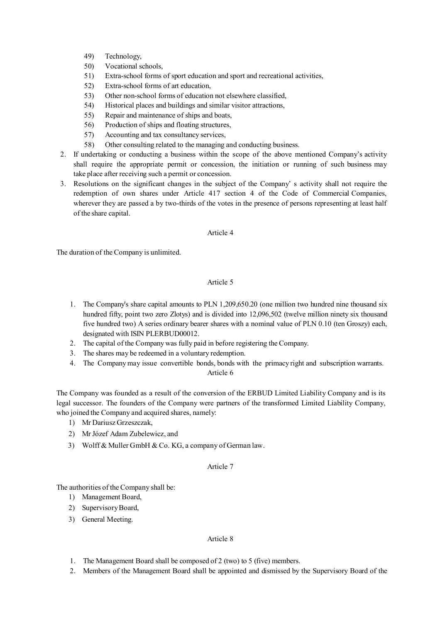- 49) Technology,
- 50) Vocational schools,
- 51) Extra-school forms of sport education and sport and recreational activities,
- 52) Extra-school forms of art education,
- 53) Other non-school forms of education not elsewhere classified,
- 54) Historical places and buildings and similar visitor attractions,
- 55) Repair and maintenance of ships and boats,
- 56) Production of ships and floating structures,
- 57) Accounting and tax consultancy services,
- 58) Other consulting related to the managing and conducting business.
- 2. If undertaking or conducting a business within the scope of the above mentioned Company's activity shall require the appropriate permit or concession, the initiation or running of such business may take place after receiving such a permit or concession.
- 3. Resolutions on the significant changes in the subject of the Company' s activity shall not require the redemption of own shares under Article 417 section 4 of the Code of Commercial Companies, wherever they are passed a by two-thirds of the votes in the presence of persons representing at least half of the share capital.

## Article 4

The duration of the Company is unlimited.

# Article 5

- 1. The Company's share capital amounts to PLN 1,209,650.20 (one million two hundred nine thousand six hundred fifty, point two zero Zlotys) and is divided into 12,096,502 (twelve million ninety six thousand five hundred two) A series ordinary bearer shares with a nominal value of PLN 0.10 (ten Groszy) each, designated with ISIN PLERBUD00012.
- 2. The capital of the Company was fully paid in before registering the Company.
- 3. The shares may be redeemed in a voluntary redemption.
- 4. The Company may issue convertible bonds, bonds with the primacy right and subscription warrants.

## Article 6

The Company was founded as a result of the conversion of the ERBUD Limited Liability Company and is its legal successor. The founders of the Company were partners of the transformed Limited Liability Company, who joined the Company and acquired shares, namely:

- 1) Mr Dariusz Grzeszczak,
- 2) Mr Józef Adam Zubelewicz, and
- 3) Wolff & Muller GmbH & Co. KG, a company of German law.

# Article 7

The authorities of the Company shall be:

- 1) Management Board,
- 2) Supervisory Board,
- 3) General Meeting.

- 1. The Management Board shall be composed of 2 (two) to 5 (five) members.
- 2. Members of the Management Board shall be appointed and dismissed by the Supervisory Board of the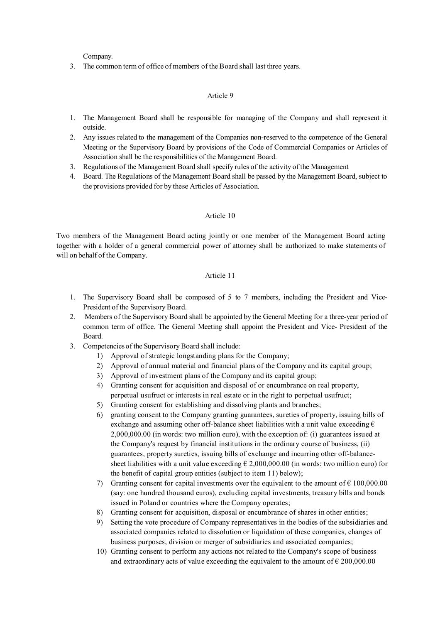Company.

3. The common term of office of members of the Board shall last three years.

### Article 9

- 1. The Management Board shall be responsible for managing of the Company and shall represent it outside.
- 2. Any issues related to the management of the Companies non-reserved to the competence of the General Meeting or the Supervisory Board by provisions of the Code of Commercial Companies or Articles of Association shall be the responsibilities of the Management Board.
- 3. Regulations of the Management Board shall specify rules of the activity of the Management
- 4. Board. The Regulations of the Management Board shall be passed by the Management Board, subject to the provisions provided for by these Articles of Association.

### Article 10

Two members of the Management Board acting jointly or one member of the Management Board acting together with a holder of a general commercial power of attorney shall be authorized to make statements of will on behalf of the Company.

- 1. The Supervisory Board shall be composed of 5 to 7 members, including the President and Vice-President of the Supervisory Board.
- 2. Members of the Supervisory Board shall be appointed by the General Meeting for a three-year period of common term of office. The General Meeting shall appoint the President and Vice- President of the Board.
- 3. Competencies of the Supervisory Board shall include:
	- 1) Approval of strategic longstanding plans for the Company;
	- 2) Approval of annual material and financial plans of the Company and its capital group;
	- 3) Approval of investment plans of the Company and its capital group;
	- 4) Granting consent for acquisition and disposal of or encumbrance on real property, perpetual usufruct or interests in real estate or in the right to perpetual usufruct;
	- 5) Granting consent for establishing and dissolving plants and branches;
	- 6) granting consent to the Company granting guarantees, sureties of property, issuing bills of exchange and assuming other off-balance sheet liabilities with a unit value exceeding  $\epsilon$ 2,000,000.00 (in words: two million euro), with the exception of: (i) guarantees issued at the Company's request by financial institutions in the ordinary course of business, (ii) guarantees, property sureties, issuing bills of exchange and incurring other off-balancesheet liabilities with a unit value exceeding  $\epsilon$  2,000,000.00 (in words: two million euro) for the benefit of capital group entities (subject to item 11) below);
	- 7) Granting consent for capital investments over the equivalent to the amount of  $\epsilon$  100,000.00 (say: one hundred thousand euros), excluding capital investments, treasury bills and bonds issued in Poland or countries where the Company operates;
	- 8) Granting consent for acquisition, disposal or encumbrance of shares in other entities;
	- 9) Setting the vote procedure of Company representatives in the bodies of the subsidiaries and associated companies related to dissolution or liquidation of these companies, changes of business purposes, division or merger of subsidiaries and associated companies;
	- 10) Granting consent to perform any actions not related to the Company's scope of business and extraordinary acts of value exceeding the equivalent to the amount of  $\epsilon$  200,000.00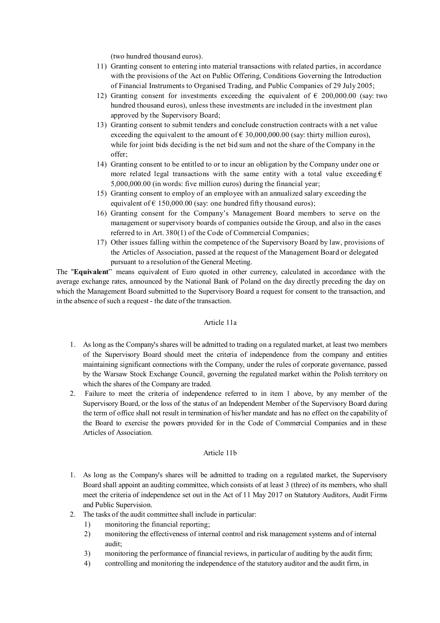(two hundred thousand euros).

- 11) Granting consent to entering into material transactions with related parties, in accordance with the provisions of the Act on Public Offering, Conditions Governing the Introduction of Financial Instruments to Organised Trading, and Public Companies of 29 July 2005;
- 12) Granting consent for investments exceeding the equivalent of  $\epsilon$  200,000.00 (say: two hundred thousand euros), unless these investments are included in the investment plan approved by the Supervisory Board;
- 13) Granting consent to submit tenders and conclude construction contracts with a net value exceeding the equivalent to the amount of  $\epsilon$  30,000,000.00 (say: thirty million euros), while for joint bids deciding is the net bid sum and not the share of the Company in the offer;
- 14) Granting consent to be entitled to or to incur an obligation by the Company under one or more related legal transactions with the same entity with a total value exceeding  $\epsilon$ 5,000,000.00 (in words: five million euros) during the financial year;
- 15) Granting consent to employ of an employee with an annualized salary exceeding the equivalent of  $\epsilon$  150,000.00 (say: one hundred fifty thousand euros);
- 16) Granting consent for the Company's Management Board members to serve on the management or supervisory boards of companies outside the Group, and also in the cases referred to in Art. 380(1) of the Code of Commercial Companies;
- 17) Other issues falling within the competence of the Supervisory Board by law, provisions of the Articles of Association, passed at the request of the Management Board or delegated pursuant to a resolution of the General Meeting.

The "**Equivalent**" means equivalent of Euro quoted in other currency, calculated in accordance with the average exchange rates, announced by the National Bank of Poland on the day directly preceding the day on which the Management Board submitted to the Supervisory Board a request for consent to the transaction, and in the absence of such a request - the date of the transaction.

### Article 11a

- 1. As long as the Company's shares will be admitted to trading on a regulated market, at least two members of the Supervisory Board should meet the criteria of independence from the company and entities maintaining significant connections with the Company, under the rules of corporate governance, passed by the Warsaw Stock Exchange Council, governing the regulated market within the Polish territory on which the shares of the Company are traded.
- 2. Failure to meet the criteria of independence referred to in item 1 above, by any member of the Supervisory Board, or the loss of the status of an Independent Member of the Supervisory Board during the term of office shall not result in termination of his/her mandate and has no effect on the capability of the Board to exercise the powers provided for in the Code of Commercial Companies and in these Articles of Association.

### Article 11b

- 1. As long as the Company's shares will be admitted to trading on a regulated market, the Supervisory Board shall appoint an auditing committee, which consists of at least 3 (three) of its members, who shall meet the criteria of independence set out in the Act of 11 May 2017 on Statutory Auditors, Audit Firms and Public Supervision.
- 2. The tasks of the audit committee shall include in particular:
	- 1) monitoring the financial reporting;
	- 2) monitoring the effectiveness of internal control and risk management systems and of internal audit;
	- 3) monitoring the performance of financial reviews, in particular of auditing by the audit firm;
	- 4) controlling and monitoring the independence of the statutory auditor and the audit firm, in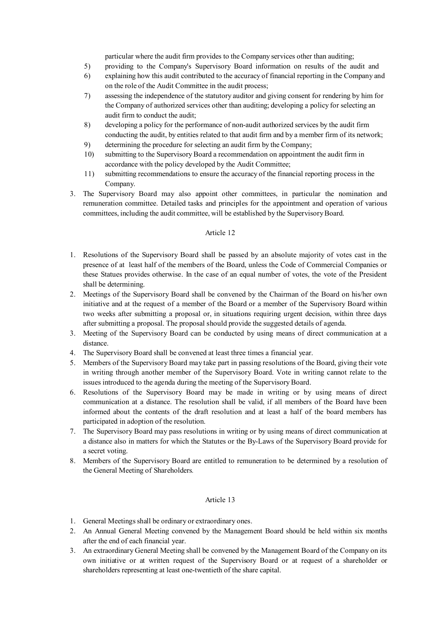particular where the audit firm provides to the Company services other than auditing;

- 5) providing to the Company's Supervisory Board information on results of the audit and
- 6) explaining how this audit contributed to the accuracy of financial reporting in the Company and on the role of the Audit Committee in the audit process;
- 7) assessing the independence of the statutory auditor and giving consent for rendering by him for the Company of authorized services other than auditing; developing a policy for selecting an audit firm to conduct the audit;
- 8) developing a policy for the performance of non-audit authorized services by the audit firm conducting the audit, by entities related to that audit firm and by a member firm of its network;
- 9) determining the procedure for selecting an audit firm by the Company;
- 10) submitting to the Supervisory Board a recommendation on appointment the audit firm in accordance with the policy developed by the Audit Committee;
- 11) submitting recommendations to ensure the accuracy of the financial reporting process in the Company.
- 3. The Supervisory Board may also appoint other committees, in particular the nomination and remuneration committee. Detailed tasks and principles for the appointment and operation of various committees, including the audit committee, will be established by the Supervisory Board.

### Article 12

- 1. Resolutions of the Supervisory Board shall be passed by an absolute majority of votes cast in the presence of at least half of the members of the Board, unless the Code of Commercial Companies or these Statues provides otherwise. In the case of an equal number of votes, the vote of the President shall be determining.
- 2. Meetings of the Supervisory Board shall be convened by the Chairman of the Board on his/her own initiative and at the request of a member of the Board or a member of the Supervisory Board within two weeks after submitting a proposal or, in situations requiring urgent decision, within three days after submitting a proposal. The proposal should provide the suggested details of agenda.
- 3. Meeting of the Supervisory Board can be conducted by using means of direct communication at a distance.
- 4. The Supervisory Board shall be convened at least three times a financial year.
- 5. Members of the Supervisory Board may take part in passing resolutions of the Board, giving their vote in writing through another member of the Supervisory Board. Vote in writing cannot relate to the issues introduced to the agenda during the meeting of the Supervisory Board.
- 6. Resolutions of the Supervisory Board may be made in writing or by using means of direct communication at a distance. The resolution shall be valid, if all members of the Board have been informed about the contents of the draft resolution and at least a half of the board members has participated in adoption of the resolution.
- 7. The Supervisory Board may pass resolutions in writing or by using means of direct communication at a distance also in matters for which the Statutes or the By-Laws of the Supervisory Board provide for a secret voting.
- 8. Members of the Supervisory Board are entitled to remuneration to be determined by a resolution of the General Meeting of Shareholders*.*

- 1. General Meetings shall be ordinary or extraordinary ones.
- 2. An Annual General Meeting convened by the Management Board should be held within six months after the end of each financial year.
- 3. An extraordinary General Meeting shall be convened by the Management Board of the Company on its own initiative or at written request of the Supervisory Board or at request of a shareholder or shareholders representing at least one-twentieth of the share capital.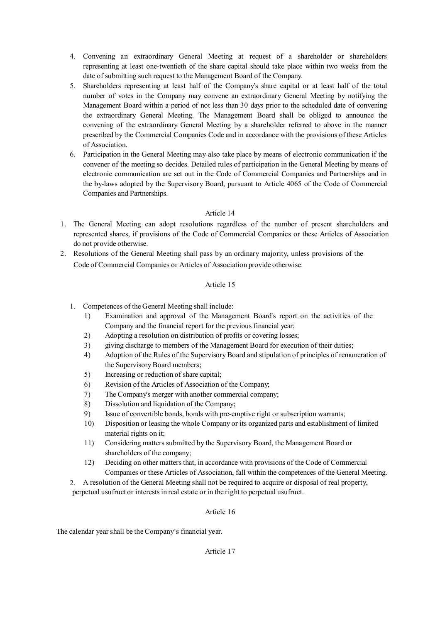- 4. Convening an extraordinary General Meeting at request of a shareholder or shareholders representing at least one-twentieth of the share capital should take place within two weeks from the date of submitting such request to the Management Board of the Company.
- 5. Shareholders representing at least half of the Company's share capital or at least half of the total number of votes in the Company may convene an extraordinary General Meeting by notifying the Management Board within a period of not less than 30 days prior to the scheduled date of convening the extraordinary General Meeting. The Management Board shall be obliged to announce the convening of the extraordinary General Meeting by a shareholder referred to above in the manner prescribed by the Commercial Companies Code and in accordance with the provisions of these Articles of Association.
- 6. Participation in the General Meeting may also take place by means of electronic communication if the convener of the meeting so decides. Detailed rules of participation in the General Meeting by means of electronic communication are set out in the Code of Commercial Companies and Partnerships and in the by-laws adopted by the Supervisory Board, pursuant to Article 4065 of the Code of Commercial Companies and Partnerships.

# Article 14

- 1. The General Meeting can adopt resolutions regardless of the number of present shareholders and represented shares, if provisions of the Code of Commercial Companies or these Articles of Association do not provide otherwise.
- 2. Resolutions of the General Meeting shall pass by an ordinary majority, unless provisions of the Code of Commercial Companies or Articles of Association provide otherwise.

# Article 15

- 1. Competences of the General Meeting shall include:
	- 1) Examination and approval of the Management Board's report on the activities of the Company and the financial report for the previous financial year;
	- 2) Adopting a resolution on distribution of profits or covering losses;
	- 3) giving discharge to members of the Management Board for execution of their duties;
	- 4) Adoption of the Rules of the Supervisory Board and stipulation of principles of remuneration of the Supervisory Board members;
	- 5) Increasing or reduction of share capital;
	- 6) Revision of the Articles of Association of the Company;
	- 7) The Company's merger with another commercial company;
	- 8) Dissolution and liquidation of the Company;
	- 9) Issue of convertible bonds, bonds with pre-emptive right or subscription warrants;
	- 10) Disposition or leasing the whole Company or its organized parts and establishment of limited material rights on it;
	- 11) Considering matters submitted by the Supervisory Board, the Management Board or shareholders of the company;
	- 12) Deciding on other matters that, in accordance with provisions of the Code of Commercial Companies or these Articles of Association, fall within the competences of the General Meeting.
- 2. A resolution of the General Meeting shall not be required to acquire or disposal of real property, perpetual usufruct or interests in real estate or in the right to perpetual usufruct.

## Article 16

The calendar year shall be the Company's financial year.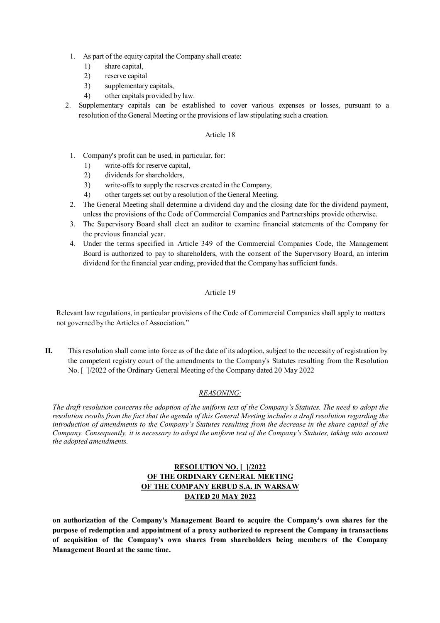- 1. As part of the equity capital the Company shall create:
	- 1) share capital,
	- 2) reserve capital
	- 3) supplementary capitals,
	- 4) other capitals provided by law.
- 2. Supplementary capitals can be established to cover various expenses or losses, pursuant to a resolution of the General Meeting or the provisions of law stipulating such a creation.

## Article 18

- 1. Company's profit can be used, in particular, for:
	- 1) write-offs for reserve capital,
	- 2) dividends for shareholders,
	- 3) write-offs to supply the reserves created in the Company,
	- 4) other targets set out by a resolution of the General Meeting.
- 2. The General Meeting shall determine a dividend day and the closing date for the dividend payment, unless the provisions of the Code of Commercial Companies and Partnerships provide otherwise.
- 3. The Supervisory Board shall elect an auditor to examine financial statements of the Company for the previous financial year.
- 4. Under the terms specified in Article 349 of the Commercial Companies Code, the Management Board is authorized to pay to shareholders, with the consent of the Supervisory Board, an interim dividend for the financial year ending, provided that the Company has sufficient funds.

## Article 19

Relevant law regulations, in particular provisions of the Code of Commercial Companies shall apply to matters not governed by the Articles of Association."

**II.** This resolution shall come into force as of the date of its adoption, subject to the necessity of registration by the competent registry court of the amendments to the Company's Statutes resulting from the Resolution No. [\_]/2022 of the Ordinary General Meeting of the Company dated 20 May 2022

## *REASONING:*

*The draft resolution concerns the adoption of the uniform text of the Company's Statutes. The need to adopt the resolution results from the fact that the agenda of this General Meeting includes a draft resolution regarding the introduction of amendments to the Company's Statutes resulting from the decrease in the share capital of the Company. Consequently, it is necessary to adopt the uniform text of the Company's Statutes, taking into account the adopted amendments.* 

# **RESOLUTION NO. [\_]/2022 OF THE ORDINARY GENERAL MEETING OF THE COMPANY ERBUD S.A. IN WARSAW DATED 20 MAY 2022**

**on authorization of the Company's Management Board to acquire the Company's own shares for the purpose of redemption and appointment of a proxy authorized to represent the Company in transactions of acquisition of the Company's own shares from shareholders being members of the Company Management Board at the same time.**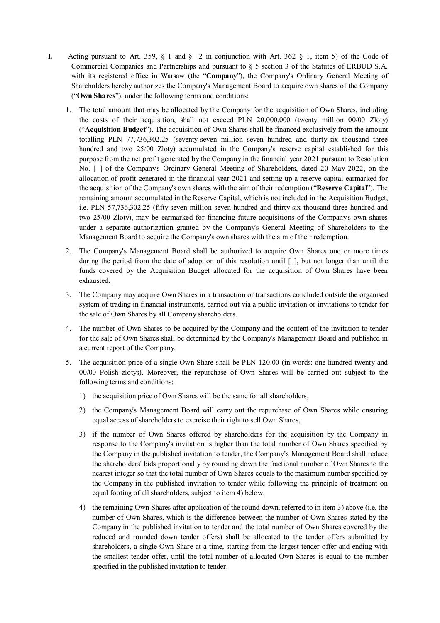- **I.** Acting pursuant to Art. 359,  $\S$  1 and  $\S$  2 in conjunction with Art. 362  $\S$  1, item 5) of the Code of Commercial Companies and Partnerships and pursuant to § 5 section 3 of the Statutes of ERBUD S.A. with its registered office in Warsaw (the "**Company**"), the Company's Ordinary General Meeting of Shareholders hereby authorizes the Company's Management Board to acquire own shares of the Company ("**Own Shares**"), under the following terms and conditions:
	- 1. The total amount that may be allocated by the Company for the acquisition of Own Shares, including the costs of their acquisition, shall not exceed PLN 20,000,000 (twenty million 00/00 Zloty) ("**Acquisition Budget**"). The acquisition of Own Shares shall be financed exclusively from the amount totalling PLN 77,736,302.25 (seventy-seven million seven hundred and thirty-six thousand three hundred and two 25/00 Zloty) accumulated in the Company's reserve capital established for this purpose from the net profit generated by the Company in the financial year 2021 pursuant to Resolution No. [ ] of the Company's Ordinary General Meeting of Shareholders, dated 20 May 2022, on the allocation of profit generated in the financial year 2021 and setting up a reserve capital earmarked for the acquisition of the Company's own shares with the aim of their redemption ("**Reserve Capital**"). The remaining amount accumulated in the Reserve Capital, which is not included in the Acquisition Budget, i.e. PLN 57,736,302.25 (fifty-seven million seven hundred and thirty-six thousand three hundred and two 25/00 Zloty), may be earmarked for financing future acquisitions of the Company's own shares under a separate authorization granted by the Company's General Meeting of Shareholders to the Management Board to acquire the Company's own shares with the aim of their redemption.
	- 2. The Company's Management Board shall be authorized to acquire Own Shares one or more times during the period from the date of adoption of this resolution until  $\lceil \cdot \rceil$ , but not longer than until the funds covered by the Acquisition Budget allocated for the acquisition of Own Shares have been exhausted.
	- 3. The Company may acquire Own Shares in a transaction or transactions concluded outside the organised system of trading in financial instruments, carried out via a public invitation or invitations to tender for the sale of Own Shares by all Company shareholders.
	- 4. The number of Own Shares to be acquired by the Company and the content of the invitation to tender for the sale of Own Shares shall be determined by the Company's Management Board and published in a current report of the Company.
	- 5. The acquisition price of a single Own Share shall be PLN 120.00 (in words: one hundred twenty and 00/00 Polish zlotys). Moreover, the repurchase of Own Shares will be carried out subject to the following terms and conditions:
		- 1) the acquisition price of Own Shares will be the same for all shareholders,
		- 2) the Company's Management Board will carry out the repurchase of Own Shares while ensuring equal access of shareholders to exercise their right to sell Own Shares,
		- 3) if the number of Own Shares offered by shareholders for the acquisition by the Company in response to the Company's invitation is higher than the total number of Own Shares specified by the Company in the published invitation to tender, the Company's Management Board shall reduce the shareholders' bids proportionally by rounding down the fractional number of Own Shares to the nearest integer so that the total number of Own Shares equals to the maximum number specified by the Company in the published invitation to tender while following the principle of treatment on equal footing of all shareholders, subject to item 4) below,
		- 4) the remaining Own Shares after application of the round-down, referred to in item 3) above (i.e. the number of Own Shares, which is the difference between the number of Own Shares stated by the Company in the published invitation to tender and the total number of Own Shares covered by the reduced and rounded down tender offers) shall be allocated to the tender offers submitted by shareholders, a single Own Share at a time, starting from the largest tender offer and ending with the smallest tender offer, until the total number of allocated Own Shares is equal to the number specified in the published invitation to tender.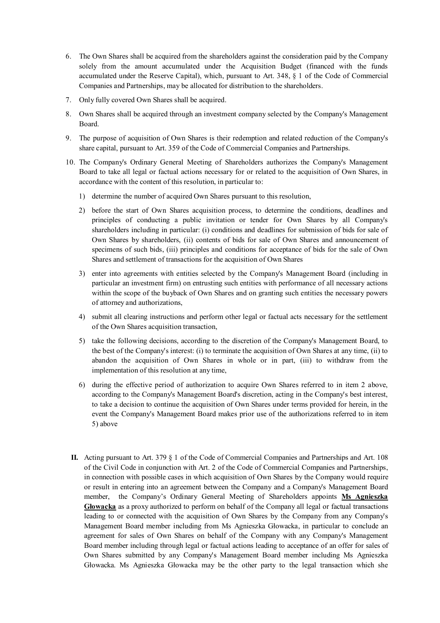- 6. The Own Shares shall be acquired from the shareholders against the consideration paid by the Company solely from the amount accumulated under the Acquisition Budget (financed with the funds accumulated under the Reserve Capital), which, pursuant to Art. 348, § 1 of the Code of Commercial Companies and Partnerships, may be allocated for distribution to the shareholders.
- 7. Only fully covered Own Shares shall be acquired.
- 8. Own Shares shall be acquired through an investment company selected by the Company's Management Board.
- 9. The purpose of acquisition of Own Shares is their redemption and related reduction of the Company's share capital, pursuant to Art. 359 of the Code of Commercial Companies and Partnerships.
- 10. The Company's Ordinary General Meeting of Shareholders authorizes the Company's Management Board to take all legal or factual actions necessary for or related to the acquisition of Own Shares, in accordance with the content of this resolution, in particular to:
	- 1) determine the number of acquired Own Shares pursuant to this resolution,
	- 2) before the start of Own Shares acquisition process, to determine the conditions, deadlines and principles of conducting a public invitation or tender for Own Shares by all Company's shareholders including in particular: (i) conditions and deadlines for submission of bids for sale of Own Shares by shareholders, (ii) contents of bids for sale of Own Shares and announcement of specimens of such bids, (iii) principles and conditions for acceptance of bids for the sale of Own Shares and settlement of transactions for the acquisition of Own Shares
	- 3) enter into agreements with entities selected by the Company's Management Board (including in particular an investment firm) on entrusting such entities with performance of all necessary actions within the scope of the buyback of Own Shares and on granting such entities the necessary powers of attorney and authorizations,
	- 4) submit all clearing instructions and perform other legal or factual acts necessary for the settlement of the Own Shares acquisition transaction,
	- 5) take the following decisions, according to the discretion of the Company's Management Board, to the best of the Company's interest: (i) to terminate the acquisition of Own Shares at any time, (ii) to abandon the acquisition of Own Shares in whole or in part, (iii) to withdraw from the implementation of this resolution at any time,
	- 6) during the effective period of authorization to acquire Own Shares referred to in item 2 above, according to the Company's Management Board's discretion, acting in the Company's best interest, to take a decision to continue the acquisition of Own Shares under terms provided for herein, in the event the Company's Management Board makes prior use of the authorizations referred to in item 5) above
	- **II.** Acting pursuant to Art. 379 § 1 of the Code of Commercial Companies and Partnerships and Art. 108 of the Civil Code in conjunction with Art. 2 of the Code of Commercial Companies and Partnerships, in connection with possible cases in which acquisition of Own Shares by the Company would require or result in entering into an agreement between the Company and a Company's Management Board member, the Company's Ordinary General Meeting of Shareholders appoints **Ms Agnieszka Głowacka** as a proxy authorized to perform on behalf of the Company all legal or factual transactions leading to or connected with the acquisition of Own Shares by the Company from any Company's Management Board member including from Ms Agnieszka Głowacka, in particular to conclude an agreement for sales of Own Shares on behalf of the Company with any Company's Management Board member including through legal or factual actions leading to acceptance of an offer for sales of Own Shares submitted by any Company's Management Board member including Ms Agnieszka Głowacka. Ms Agnieszka Głowacka may be the other party to the legal transaction which she